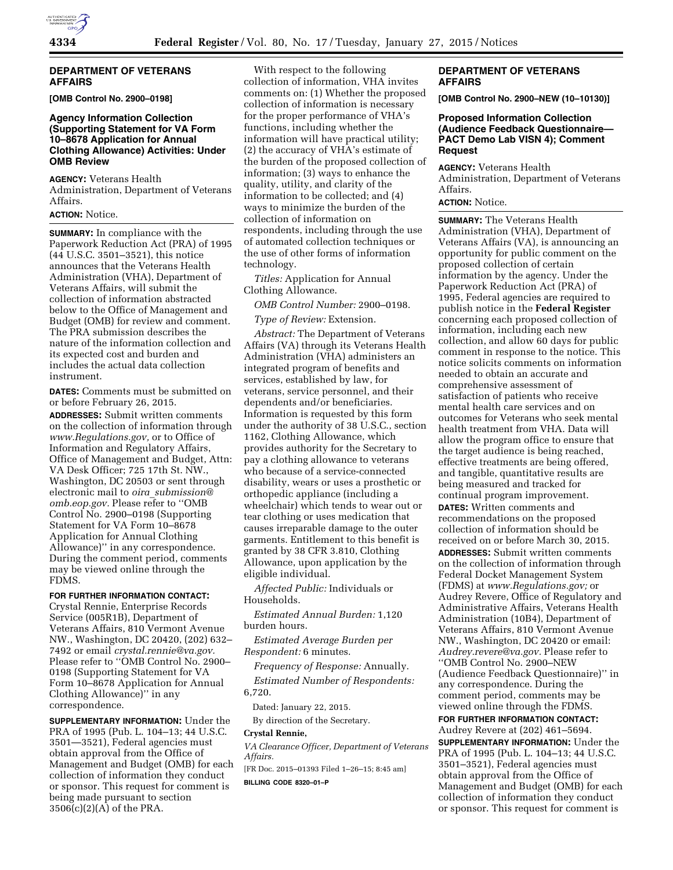# **DEPARTMENT OF VETERANS AFFAIRS**

**[OMB Control No. 2900–0198]** 

## **Agency Information Collection (Supporting Statement for VA Form 10–8678 Application for Annual Clothing Allowance) Activities: Under OMB Review**

**AGENCY:** Veterans Health Administration, Department of Veterans Affairs.

### **ACTION:** Notice.

**SUMMARY:** In compliance with the Paperwork Reduction Act (PRA) of 1995 (44 U.S.C. 3501–3521), this notice announces that the Veterans Health Administration (VHA), Department of Veterans Affairs, will submit the collection of information abstracted below to the Office of Management and Budget (OMB) for review and comment. The PRA submission describes the nature of the information collection and its expected cost and burden and includes the actual data collection instrument.

**DATES:** Comments must be submitted on or before February 26, 2015.

**ADDRESSES:** Submit written comments on the collection of information through *[www.Regulations.gov,](http://www.Regulations.gov)* or to Office of Information and Regulatory Affairs, Office of Management and Budget, Attn: VA Desk Officer; 725 17th St. NW., Washington, DC 20503 or sent through electronic mail to *oira*\_*[submission@](mailto:oira_submission@omb.eop.gov) [omb.eop.gov.](mailto:oira_submission@omb.eop.gov)* Please refer to ''OMB Control No. 2900–0198 (Supporting Statement for VA Form 10–8678 Application for Annual Clothing Allowance)'' in any correspondence. During the comment period, comments may be viewed online through the FDMS.

**FOR FURTHER INFORMATION CONTACT:**  Crystal Rennie, Enterprise Records Service (005R1B), Department of Veterans Affairs, 810 Vermont Avenue NW., Washington, DC 20420, (202) 632– 7492 or email *[crystal.rennie@va.gov.](mailto:crystal.rennie@va.gov)*  Please refer to ''OMB Control No. 2900– 0198 (Supporting Statement for VA Form 10–8678 Application for Annual Clothing Allowance)'' in any correspondence.

**SUPPLEMENTARY INFORMATION:** Under the PRA of 1995 (Pub. L. 104–13; 44 U.S.C. 3501—3521), Federal agencies must obtain approval from the Office of Management and Budget (OMB) for each collection of information they conduct or sponsor. This request for comment is being made pursuant to section 3506(c)(2)(A) of the PRA.

With respect to the following collection of information, VHA invites comments on: (1) Whether the proposed collection of information is necessary for the proper performance of VHA's functions, including whether the information will have practical utility; (2) the accuracy of VHA's estimate of the burden of the proposed collection of information; (3) ways to enhance the quality, utility, and clarity of the information to be collected; and (4) ways to minimize the burden of the collection of information on respondents, including through the use of automated collection techniques or the use of other forms of information technology.

*Titles:* Application for Annual Clothing Allowance.

*OMB Control Number:* 2900–0198.

*Type of Review:* Extension.

*Abstract:* The Department of Veterans Affairs (VA) through its Veterans Health Administration (VHA) administers an integrated program of benefits and services, established by law, for veterans, service personnel, and their dependents and/or beneficiaries. Information is requested by this form under the authority of 38 U.S.C., section 1162, Clothing Allowance, which provides authority for the Secretary to pay a clothing allowance to veterans who because of a service-connected disability, wears or uses a prosthetic or orthopedic appliance (including a wheelchair) which tends to wear out or tear clothing or uses medication that causes irreparable damage to the outer garments. Entitlement to this benefit is granted by 38 CFR 3.810, Clothing Allowance, upon application by the eligible individual.

*Affected Public:* Individuals or Households.

*Estimated Annual Burden:* 1,120 burden hours.

*Estimated Average Burden per Respondent:* 6 minutes.

*Frequency of Response:* Annually. *Estimated Number of Respondents:*  6,720.

Dated: January 22, 2015.

By direction of the Secretary.

### **Crystal Rennie,**

*VA Clearance Officer, Department of Veterans Affairs.* 

[FR Doc. 2015–01393 Filed 1–26–15; 8:45 am]

**BILLING CODE 8320–01–P** 

# **DEPARTMENT OF VETERANS AFFAIRS**

**[OMB Control No. 2900–NEW (10–10130)]** 

### **Proposed Information Collection (Audience Feedback Questionnaire— PACT Demo Lab VISN 4); Comment Request**

**AGENCY:** Veterans Health Administration, Department of Veterans Affairs.

# **ACTION:** Notice.

**SUMMARY:** The Veterans Health Administration (VHA), Department of Veterans Affairs (VA), is announcing an opportunity for public comment on the proposed collection of certain information by the agency. Under the Paperwork Reduction Act (PRA) of 1995, Federal agencies are required to publish notice in the **Federal Register**  concerning each proposed collection of information, including each new collection, and allow 60 days for public comment in response to the notice. This notice solicits comments on information needed to obtain an accurate and comprehensive assessment of satisfaction of patients who receive mental health care services and on outcomes for Veterans who seek mental health treatment from VHA. Data will allow the program office to ensure that the target audience is being reached, effective treatments are being offered, and tangible, quantitative results are being measured and tracked for continual program improvement. **DATES:** Written comments and recommendations on the proposed collection of information should be received on or before March 30, 2015.

**ADDRESSES:** Submit written comments on the collection of information through Federal Docket Management System (FDMS) at *[www.Regulations.gov;](http://www.Regulations.gov)* or Audrey Revere, Office of Regulatory and Administrative Affairs, Veterans Health Administration (10B4), Department of Veterans Affairs, 810 Vermont Avenue NW., Washington, DC 20420 or email: *[Audrey.revere@va.gov.](mailto:Audrey.revere@va.gov)* Please refer to ''OMB Control No. 2900–NEW (Audience Feedback Questionnaire)'' in any correspondence. During the comment period, comments may be viewed online through the FDMS.

# **FOR FURTHER INFORMATION CONTACT:**

Audrey Revere at (202) 461–5694. **SUPPLEMENTARY INFORMATION:** Under the PRA of 1995 (Pub. L. 104–13; 44 U.S.C. 3501–3521), Federal agencies must obtain approval from the Office of Management and Budget (OMB) for each collection of information they conduct or sponsor. This request for comment is